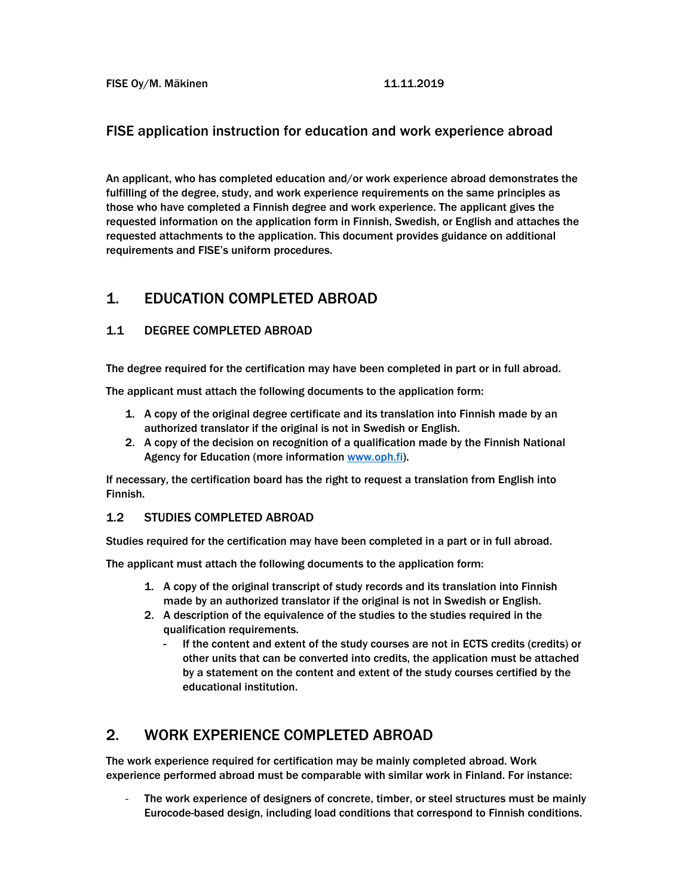## FISE application instruction for education and work experience abroad

An applicant, who has completed education and/or work experience abroad demonstrates the fulfilling of the degree, study, and work experience requirements on the same principles as those who have completed a Finnish degree and work experience. The applicant gives the requested information on the application form in Finnish, Swedish, or English and attaches the requested attachments to the application. This document provides guidance on additional requirements and FISE's uniform procedures.

## 1. EDUCATION COMPLETED ABROAD

### 1.1 DEGREE COMPLETED ABROAD

The degree required for the certification may have been completed in part or in full abroad.

The applicant must attach the following documents to the application form:

- 1. A copy of the original degree certificate and its translation into Finnish made by an authorized translator if the original is not in Swedish or English.
- 2. A copy of the decision on recognition of a qualification made by the Finnish National Agency for Education (more information www.oph.fi).

If necessary, the certification board has the right to request a translation from English into Finnish.

#### 1.2 STUDIES COMPLETED ABROAD

Studies required for the certification may have been completed in a part or in full abroad.

The applicant must attach the following documents to the application form:

- 1. A copy of the original transcript of study records and its translation into Finnish made by an authorized translator if the original is not in Swedish or English.
- 2. A description of the equivalence of the studies to the studies required in the qualification requirements.
	- If the content and extent of the study courses are not in ECTS credits (credits) or other units that can be converted into credits, the application must be attached by a statement on the content and extent of the study courses certified by the educational institution.

## 2. WORK EXPERIENCE COMPLETED ABROAD

The work experience required for certification may be mainly completed abroad. Work experience performed abroad must be comparable with similar work in Finland. For instance:

The work experience of designers of concrete, timber, or steel structures must be mainly Eurocode-based design, including load conditions that correspond to Finnish conditions.